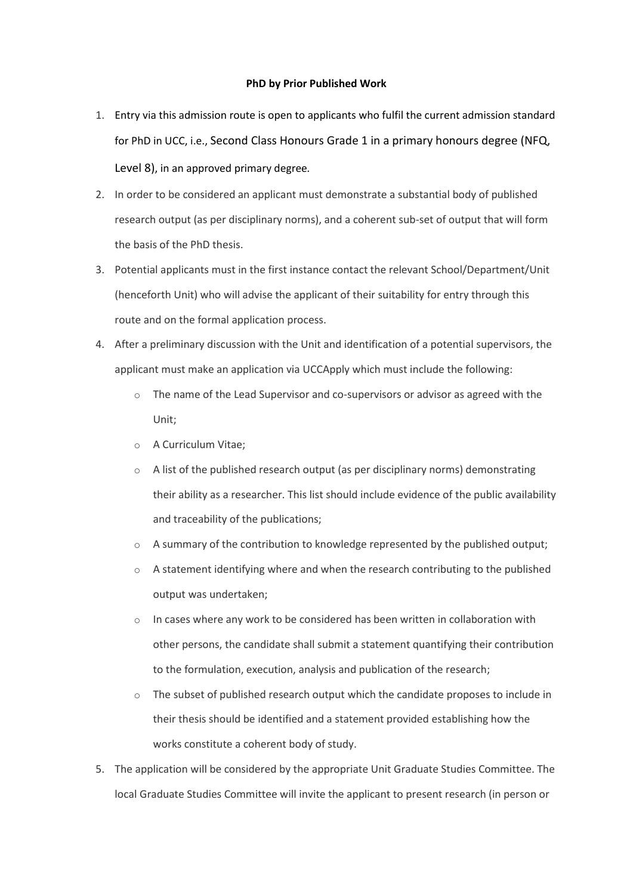## **PhD by Prior Published Work**

- 1. Entry via this admission route is open to applicants who fulfil the current admission standard for PhD in UCC, i.e., Second Class Honours Grade 1 in a primary honours degree (NFQ, Level 8), in an approved primary degree*.*
- 2. In order to be considered an applicant must demonstrate a substantial body of published research output (as per disciplinary norms), and a coherent sub-set of output that will form the basis of the PhD thesis.
- 3. Potential applicants must in the first instance contact the relevant School/Department/Unit (henceforth Unit) who will advise the applicant of their suitability for entry through this route and on the formal application process.
- 4. After a preliminary discussion with the Unit and identification of a potential supervisors, the applicant must make an application via UCCApply which must include the following:
	- $\circ$  The name of the Lead Supervisor and co-supervisors or advisor as agreed with the Unit;
	- o A Curriculum Vitae;
	- $\circ$  A list of the published research output (as per disciplinary norms) demonstrating their ability as a researcher. This list should include evidence of the public availability and traceability of the publications;
	- $\circ$  A summary of the contribution to knowledge represented by the published output;
	- $\circ$  A statement identifying where and when the research contributing to the published output was undertaken;
	- In cases where any work to be considered has been written in collaboration with other persons, the candidate shall submit a statement quantifying their contribution to the formulation, execution, analysis and publication of the research;
	- $\circ$  The subset of published research output which the candidate proposes to include in their thesis should be identified and a statement provided establishing how the works constitute a coherent body of study.
- 5. The application will be considered by the appropriate Unit Graduate Studies Committee. The local Graduate Studies Committee will invite the applicant to present research (in person or